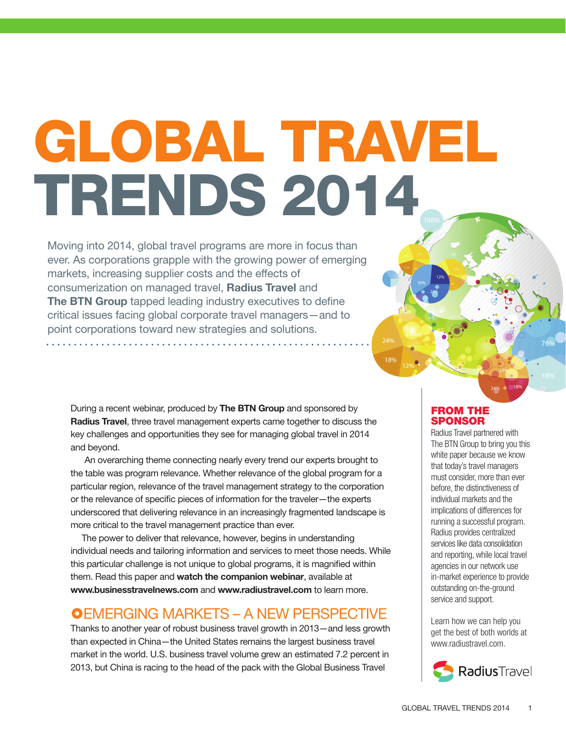# Global travel trends 2014

Moving into 2014, global travel programs are more in focus than ever. As corporations grapple with the growing power of emerging markets, increasing supplier costs and the effects of consumerization on managed travel, Radius Travel and The BTN Group tapped leading industry executives to define critical issues facing global corporate travel managers—and to point corporations toward new strategies and solutions.

During a recent webinar, produced by The BTN Group and sponsored by Radius Travel, three travel management experts came together to discuss the key challenges and opportunities they see for managing global travel in 2014 and beyond.

 An overarching theme connecting nearly every trend our experts brought to the table was program relevance. Whether relevance of the global program for a particular region, relevance of the travel management strategy to the corporation or the relevance of specific pieces of information for the traveler—the experts underscored that delivering relevance in an increasingly fragmented landscape is more critical to the travel management practice than ever.

The power to deliver that relevance, however, begins in understanding individual needs and tailoring information and services to meet those needs. While this particular challenge is not unique to global programs, it is magnified within them. Read this paper and watch the companion webinar, available at www.businesstravelnews.com and www.radiustravel.com to learn more.

#### **OEMERGING MARKETS – A NEW PERSPECTIVE**

Thanks to another year of robust business travel growth in 2013—and less growth than expected in China—the United States remains the largest business travel market in the world. U.S. business travel volume grew an estimated 7.2 percent in 2013, but China is racing to the head of the pack with the Global Business Travel

#### FROM the sponsor

Radius Travel partnered with The BTN Group to bring you this white paper because we know that today's travel managers must consider, more than ever before, the distinctiveness of individual markets and the implications of differences for running a successful program. Radius provides centralized services like data consolidation and reporting, while local travel agencies in our network use in-market experience to provide outstanding on-the-ground service and support.

Learn how we can help you get the best of both worlds at www.radiustravel.com.

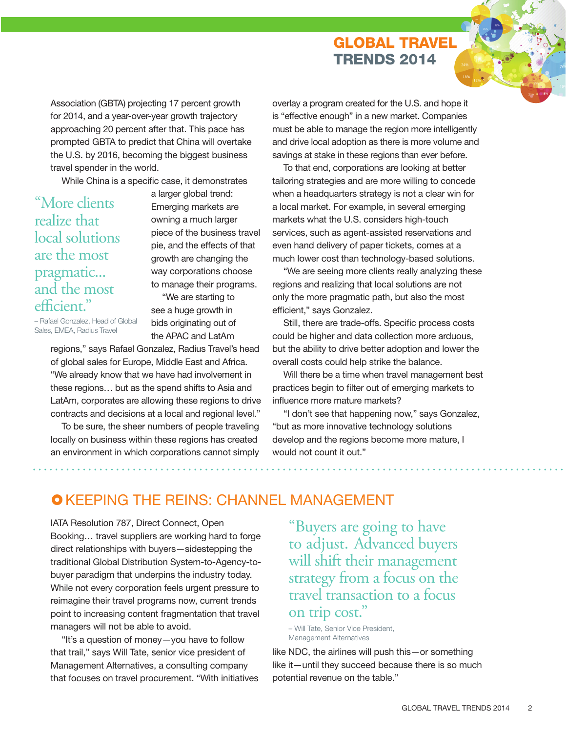Association (GBTA) projecting 17 percent growth for 2014, and a year-over-year growth trajectory approaching 20 percent after that. This pace has prompted GBTA to predict that China will overtake the U.S. by 2016, becoming the biggest business travel spender in the world.

While China is a specific case, it demonstrates

"More clients realize that local solutions are the most pragmatic... and the most efficient."

a larger global trend: Emerging markets are owning a much larger piece of the business travel pie, and the effects of that growth are changing the way corporations choose to manage their programs.

"We are starting to see a huge growth in bids originating out of the APAC and LatAm

– Rafael Gonzalez, Head of Global Sales, EMEA, Radius Travel

> regions," says Rafael Gonzalez, Radius Travel's head of global sales for Europe, Middle East and Africa. "We already know that we have had involvement in these regions… but as the spend shifts to Asia and LatAm, corporates are allowing these regions to drive contracts and decisions at a local and regional level."

> To be sure, the sheer numbers of people traveling locally on business within these regions has created an environment in which corporations cannot simply

overlay a program created for the U.S. and hope it is "effective enough" in a new market. Companies must be able to manage the region more intelligently and drive local adoption as there is more volume and savings at stake in these regions than ever before.

To that end, corporations are looking at better tailoring strategies and are more willing to concede when a headquarters strategy is not a clear win for a local market. For example, in several emerging markets what the U.S. considers high-touch services, such as agent-assisted reservations and even hand delivery of paper tickets, comes at a much lower cost than technology-based solutions.

"We are seeing more clients really analyzing these regions and realizing that local solutions are not only the more pragmatic path, but also the most efficient," says Gonzalez.

Still, there are trade-offs. Specific process costs could be higher and data collection more arduous, but the ability to drive better adoption and lower the overall costs could help strike the balance.

Will there be a time when travel management best practices begin to filter out of emerging markets to influence more mature markets?

"I don't see that happening now," says Gonzalez, "but as more innovative technology solutions develop and the regions become more mature, I would not count it out."

#### **OKEEPING THE REINS: CHANNEL MANAGEMENT**

IATA Resolution 787, Direct Connect, Open Booking… travel suppliers are working hard to forge direct relationships with buyers—sidestepping the traditional Global Distribution System-to-Agency-tobuyer paradigm that underpins the industry today. While not every corporation feels urgent pressure to reimagine their travel programs now, current trends point to increasing content fragmentation that travel managers will not be able to avoid.

"It's a question of money—you have to follow that trail," says Will Tate, senior vice president of Management Alternatives, a consulting company that focuses on travel procurement. "With initiatives

"Buyers are going to have to adjust. Advanced buyers will shift their management strategy from a focus on the travel transaction to a focus on trip cost."

– Will Tate, Senior Vice President, Management Alternatives

like NDC, the airlines will push this—or something like it—until they succeed because there is so much potential revenue on the table."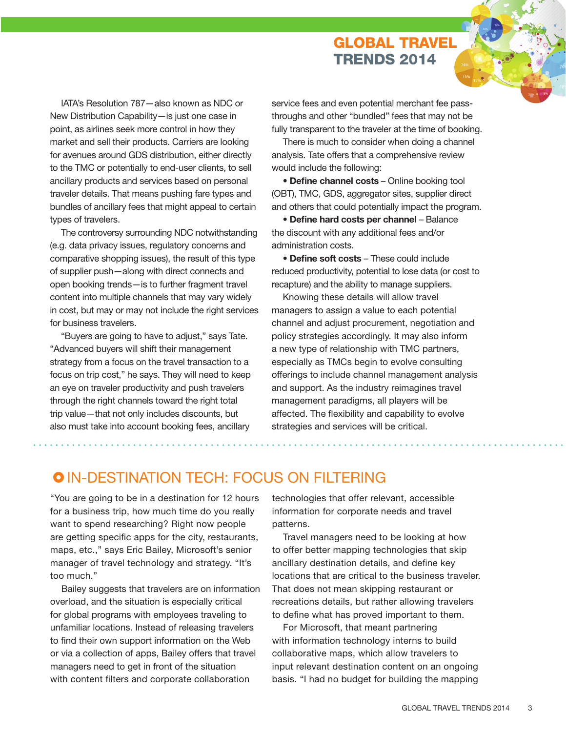IATA's Resolution 787—also known as NDC or New Distribution Capability—is just one case in point, as airlines seek more control in how they market and sell their products. Carriers are looking for avenues around GDS distribution, either directly to the TMC or potentially to end-user clients, to sell ancillary products and services based on personal traveler details. That means pushing fare types and bundles of ancillary fees that might appeal to certain types of travelers.

The controversy surrounding NDC notwithstanding (e.g. data privacy issues, regulatory concerns and comparative shopping issues), the result of this type of supplier push—along with direct connects and open booking trends—is to further fragment travel content into multiple channels that may vary widely in cost, but may or may not include the right services for business travelers.

"Buyers are going to have to adjust," says Tate. "Advanced buyers will shift their management strategy from a focus on the travel transaction to a focus on trip cost," he says. They will need to keep an eye on traveler productivity and push travelers through the right channels toward the right total trip value—that not only includes discounts, but also must take into account booking fees, ancillary

service fees and even potential merchant fee passthroughs and other "bundled" fees that may not be fully transparent to the traveler at the time of booking.

There is much to consider when doing a channel analysis. Tate offers that a comprehensive review would include the following:

• Define channel costs – Online booking tool (OBT), TMC, GDS, aggregator sites, supplier direct and others that could potentially impact the program.

• Define hard costs per channel – Balance the discount with any additional fees and/or administration costs.

• Define soft costs – These could include reduced productivity, potential to lose data (or cost to recapture) and the ability to manage suppliers.

Knowing these details will allow travel managers to assign a value to each potential channel and adjust procurement, negotiation and policy strategies accordingly. It may also inform a new type of relationship with TMC partners, especially as TMCs begin to evolve consulting offerings to include channel management analysis and support. As the industry reimagines travel management paradigms, all players will be affected. The flexibility and capability to evolve strategies and services will be critical.

#### **O IN-DESTINATION TECH: FOCUS ON FILTERING**

"You are going to be in a destination for 12 hours for a business trip, how much time do you really want to spend researching? Right now people are getting specific apps for the city, restaurants, maps, etc.," says Eric Bailey, Microsoft's senior manager of travel technology and strategy. "It's too much."

Bailey suggests that travelers are on information overload, and the situation is especially critical for global programs with employees traveling to unfamiliar locations. Instead of releasing travelers to find their own support information on the Web or via a collection of apps, Bailey offers that travel managers need to get in front of the situation with content filters and corporate collaboration

technologies that offer relevant, accessible information for corporate needs and travel patterns.

Travel managers need to be looking at how to offer better mapping technologies that skip ancillary destination details, and define key locations that are critical to the business traveler. That does not mean skipping restaurant or recreations details, but rather allowing travelers to define what has proved important to them.

For Microsoft, that meant partnering with information technology interns to build collaborative maps, which allow travelers to input relevant destination content on an ongoing basis. "I had no budget for building the mapping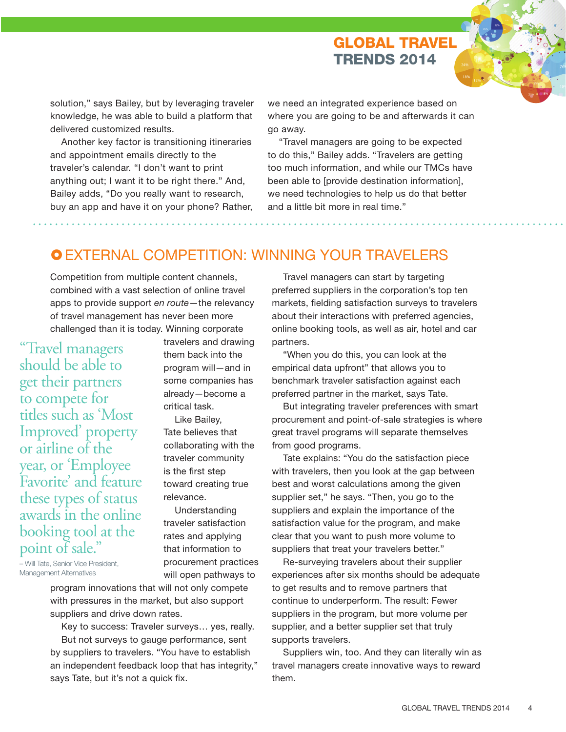solution," says Bailey, but by leveraging traveler knowledge, he was able to build a platform that delivered customized results.

Another key factor is transitioning itineraries and appointment emails directly to the traveler's calendar. "I don't want to print anything out; I want it to be right there." And, Bailey adds, "Do you really want to research, buy an app and have it on your phone? Rather, we need an integrated experience based on where you are going to be and afterwards it can go away.

"Travel managers are going to be expected to do this," Bailey adds. "Travelers are getting too much information, and while our TMCs have been able to [provide destination information], we need technologies to help us do that better and a little bit more in real time."

# **O EXTERNAL COMPETITION: WINNING YOUR TRAVELERS**

Competition from multiple content channels, combined with a vast selection of online travel apps to provide support *en route*—the relevancy of travel management has never been more challenged than it is today. Winning corporate

"Travel managers should be able to get their partners to compete for titles such as 'Most Improved' property or airline of the year, or 'Employee Favorite' and feature these types of status awards in the online booking tool at the point of sale."

travelers and drawing them back into the program will—and in some companies has already—become a critical task.

Like Bailey, Tate believes that collaborating with the traveler community is the first step toward creating true relevance.

Understanding traveler satisfaction rates and applying that information to procurement practices will open pathways to

– Will Tate, Senior Vice President, Management Alternatives

> program innovations that will not only compete with pressures in the market, but also support suppliers and drive down rates.

Key to success: Traveler surveys… yes, really. But not surveys to gauge performance, sent by suppliers to travelers. "You have to establish an independent feedback loop that has integrity,"

says Tate, but it's not a quick fix.

Travel managers can start by targeting preferred suppliers in the corporation's top ten markets, fielding satisfaction surveys to travelers about their interactions with preferred agencies, online booking tools, as well as air, hotel and car partners.

"When you do this, you can look at the empirical data upfront" that allows you to benchmark traveler satisfaction against each preferred partner in the market, says Tate.

But integrating traveler preferences with smart procurement and point-of-sale strategies is where great travel programs will separate themselves from good programs.

Tate explains: "You do the satisfaction piece with travelers, then you look at the gap between best and worst calculations among the given supplier set," he says. "Then, you go to the suppliers and explain the importance of the satisfaction value for the program, and make clear that you want to push more volume to suppliers that treat your travelers better."

Re-surveying travelers about their supplier experiences after six months should be adequate to get results and to remove partners that continue to underperform. The result: Fewer suppliers in the program, but more volume per supplier, and a better supplier set that truly supports travelers.

Suppliers win, too. And they can literally win as travel managers create innovative ways to reward them.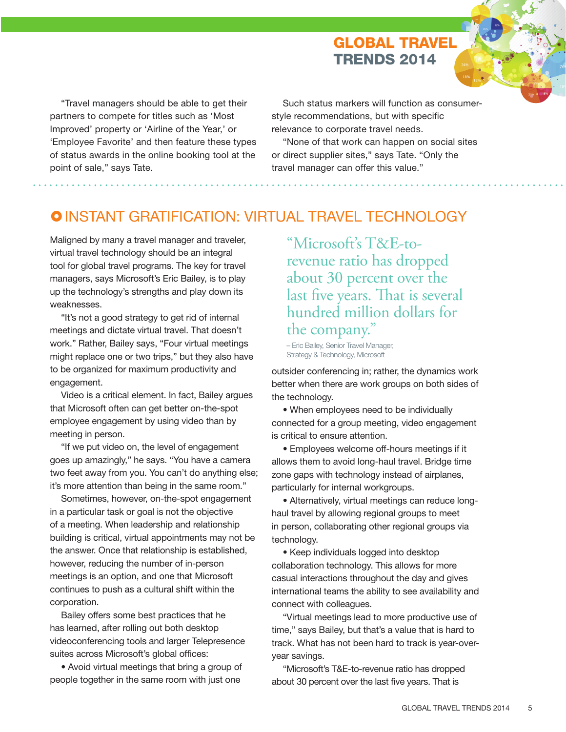"Travel managers should be able to get their partners to compete for titles such as 'Most Improved' property or 'Airline of the Year,' or 'Employee Favorite' and then feature these types of status awards in the online booking tool at the point of sale," says Tate.

Such status markers will function as consumerstyle recommendations, but with specific relevance to corporate travel needs.

"None of that work can happen on social sites or direct supplier sites," says Tate. "Only the travel manager can offer this value."

# **O INSTANT GRATIFICATION: VIRTUAL TRAVEL TECHNOLOGY**

Maligned by many a travel manager and traveler, virtual travel technology should be an integral tool for global travel programs. The key for travel managers, says Microsoft's Eric Bailey, is to play up the technology's strengths and play down its weaknesses.

"It's not a good strategy to get rid of internal meetings and dictate virtual travel. That doesn't work." Rather, Bailey says, "Four virtual meetings might replace one or two trips," but they also have to be organized for maximum productivity and engagement.

Video is a critical element. In fact, Bailey argues that Microsoft often can get better on-the-spot employee engagement by using video than by meeting in person.

"If we put video on, the level of engagement goes up amazingly," he says. "You have a camera two feet away from you. You can't do anything else; it's more attention than being in the same room."

Sometimes, however, on-the-spot engagement in a particular task or goal is not the objective of a meeting. When leadership and relationship building is critical, virtual appointments may not be the answer. Once that relationship is established, however, reducing the number of in-person meetings is an option, and one that Microsoft continues to push as a cultural shift within the corporation.

Bailey offers some best practices that he has learned, after rolling out both desktop videoconferencing tools and larger Telepresence suites across Microsoft's global offices:

• Avoid virtual meetings that bring a group of people together in the same room with just one

"Microsoft's T&E-torevenue ratio has dropped about 30 percent over the last five years. That is several hundred million dollars for the company."

– Eric Bailey, Senior Travel Manager, Strategy & Technology, Microsoft

outsider conferencing in; rather, the dynamics work better when there are work groups on both sides of the technology.

• When employees need to be individually connected for a group meeting, video engagement is critical to ensure attention.

• Employees welcome off-hours meetings if it allows them to avoid long-haul travel. Bridge time zone gaps with technology instead of airplanes, particularly for internal workgroups.

• Alternatively, virtual meetings can reduce longhaul travel by allowing regional groups to meet in person, collaborating other regional groups via technology.

• Keep individuals logged into desktop collaboration technology. This allows for more casual interactions throughout the day and gives international teams the ability to see availability and connect with colleagues.

"Virtual meetings lead to more productive use of time," says Bailey, but that's a value that is hard to track. What has not been hard to track is year-overyear savings.

"Microsoft's T&E-to-revenue ratio has dropped about 30 percent over the last five years. That is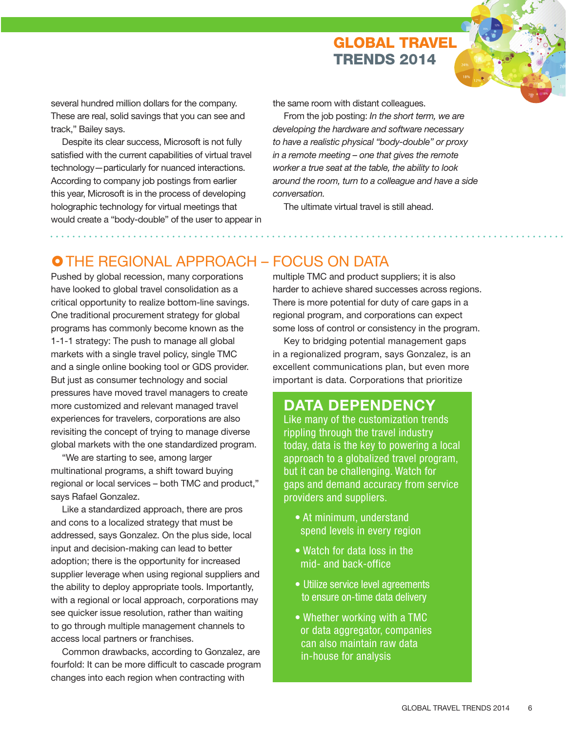several hundred million dollars for the company. These are real, solid savings that you can see and track," Bailey says.

Despite its clear success, Microsoft is not fully satisfied with the current capabilities of virtual travel technology—particularly for nuanced interactions. According to company job postings from earlier this year, Microsoft is in the process of developing holographic technology for virtual meetings that would create a "body-double" of the user to appear in the same room with distant colleagues.

From the job posting: *In the short term, we are developing the hardware and software necessary to have a realistic physical "body-double" or proxy in a remote meeting – one that gives the remote worker a true seat at the table, the ability to look around the room, turn to a colleague and have a side conversation.*

The ultimate virtual travel is still ahead.

# **O THE REGIONAL APPROACH - FOCUS ON DATA**

Pushed by global recession, many corporations have looked to global travel consolidation as a critical opportunity to realize bottom-line savings. One traditional procurement strategy for global programs has commonly become known as the 1-1-1 strategy: The push to manage all global markets with a single travel policy, single TMC and a single online booking tool or GDS provider. But just as consumer technology and social pressures have moved travel managers to create more customized and relevant managed travel experiences for travelers, corporations are also revisiting the concept of trying to manage diverse global markets with the one standardized program.

"We are starting to see, among larger multinational programs, a shift toward buying regional or local services – both TMC and product," says Rafael Gonzalez.

Like a standardized approach, there are pros and cons to a localized strategy that must be addressed, says Gonzalez. On the plus side, local input and decision-making can lead to better adoption; there is the opportunity for increased supplier leverage when using regional suppliers and the ability to deploy appropriate tools. Importantly, with a regional or local approach, corporations may see quicker issue resolution, rather than waiting to go through multiple management channels to access local partners or franchises.

Common drawbacks, according to Gonzalez, are fourfold: It can be more difficult to cascade program changes into each region when contracting with

multiple TMC and product suppliers; it is also harder to achieve shared successes across regions. There is more potential for duty of care gaps in a regional program, and corporations can expect some loss of control or consistency in the program.

Key to bridging potential management gaps in a regionalized program, says Gonzalez, is an excellent communications plan, but even more important is data. Corporations that prioritize

#### DATA DEPENDENCY

Like many of the customization trends rippling through the travel industry today, data is the key to powering a local approach to a globalized travel program, but it can be challenging. Watch for gaps and demand accuracy from service providers and suppliers.

- At minimum, understand spend levels in every region
- Watch for data loss in the mid- and back-office
- Utilize service level agreements to ensure on-time data delivery
- Whether working with a TMC or data aggregator, companies can also maintain raw data in-house for analysis